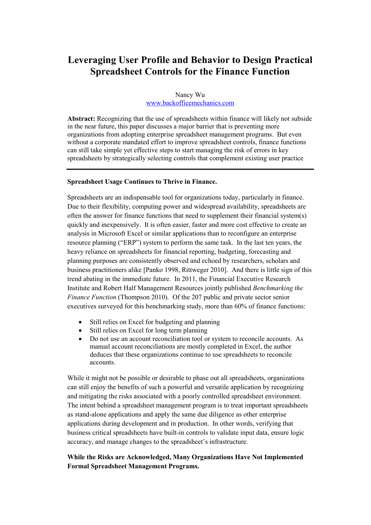# Leveraging User Profile and Behavior to Design Practical Spreadsheet Controls for the Finance Function

# Nancy Wu www.backofficemechanics.com

Abstract: Recognizing that the use of spreadsheets within finance will likely not subside in the near future, this paper discusses a major barrier that is preventing more organizations from adopting enterprise spreadsheet management programs. But even without a corporate mandated effort to improve spreadsheet controls, finance functions can still take simple yet effective steps to start managing the risk of errors in key spreadsheets by strategically selecting controls that complement existing user practice

## Spreadsheet Usage Continues to Thrive in Finance.

Spreadsheets are an indispensable tool for organizations today, particularly in finance. Due to their flexibility, computing power and widespread availability, spreadsheets are often the answer for finance functions that need to supplement their financial system(s) quickly and inexpensively. It is often easier, faster and more cost effective to create an analysis in Microsoft Excel or similar applications than to reconfigure an enterprise resource planning ("ERP") system to perform the same task. In the last ten years, the heavy reliance on spreadsheets for financial reporting, budgeting, forecasting and planning purposes are consistently observed and echoed by researchers, scholars and business practitioners alike [Panko 1998, Rittweger 2010]. And there is little sign of this trend abating in the immediate future. In 2011, the Financial Executive Research Institute and Robert Half Management Resources jointly published Benchmarking the Finance Function (Thompson 2010). Of the 207 public and private sector senior executives surveyed for this benchmarking study, more than 60% of finance functions:

- Still relies on Excel for budgeting and planning
- Still relies on Excel for long term planning
- Do not use an account reconciliation tool or system to reconcile accounts. As manual account reconciliations are mostly completed in Excel, the author deduces that these organizations continue to use spreadsheets to reconcile accounts.

While it might not be possible or desirable to phase out all spreadsheets, organizations can still enjoy the benefits of such a powerful and versatile application by recognizing and mitigating the risks associated with a poorly controlled spreadsheet environment. The intent behind a spreadsheet management program is to treat important spreadsheets as stand-alone applications and apply the same due diligence as other enterprise applications during development and in production. In other words, verifying that business critical spreadsheets have built-in controls to validate input data, ensure logic accuracy, and manage changes to the spreadsheet's infrastructure.

# While the Risks are Acknowledged, Many Organizations Have Not Implemented Formal Spreadsheet Management Programs.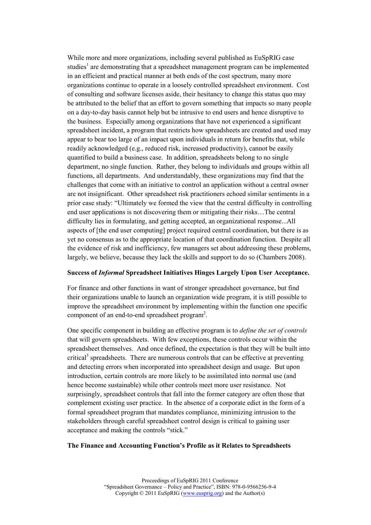While more and more organizations, including several published as EuSpRIG case studies<sup>1</sup> are demonstrating that a spreadsheet management program can be implemented in an efficient and practical manner at both ends of the cost spectrum, many more organizations continue to operate in a loosely controlled spreadsheet environment. Cost of consulting and software licenses aside, their hesitancy to change this status quo may be attributed to the belief that an effort to govern something that impacts so many people on a day-to-day basis cannot help but be intrusive to end users and hence disruptive to the business. Especially among organizations that have not experienced a significant spreadsheet incident, a program that restricts how spreadsheets are created and used may appear to bear too large of an impact upon individuals in return for benefits that, while readily acknowledged (e.g., reduced risk, increased productivity), cannot be easily quantified to build a business case. In addition, spreadsheets belong to no single department, no single function. Rather, they belong to individuals and groups within all functions, all departments. And understandably, these organizations may find that the challenges that come with an initiative to control an application without a central owner are not insignificant. Other spreadsheet risk practitioners echoed similar sentiments in a prior case study: "Ultimately we formed the view that the central difficulty in controlling end user applications is not discovering them or mitigating their risks…The central difficulty lies in formulating, and getting accepted, an organizational response...All aspects of [the end user computing] project required central coordination, but there is as yet no consensus as to the appropriate location of that coordination function. Despite all the evidence of risk and inefficiency, few managers set about addressing these problems, largely, we believe, because they lack the skills and support to do so (Chambers 2008).

#### Success of Informal Spreadsheet Initiatives Hinges Largely Upon User Acceptance.

For finance and other functions in want of stronger spreadsheet governance, but find their organizations unable to launch an organization wide program, it is still possible to improve the spreadsheet environment by implementing within the function one specific component of an end-to-end spreadsheet program<sup>2</sup>.

One specific component in building an effective program is to define the set of controls that will govern spreadsheets. With few exceptions, these controls occur within the spreadsheet themselves. And once defined, the expectation is that they will be built into critical<sup>3</sup> spreadsheets. There are numerous controls that can be effective at preventing and detecting errors when incorporated into spreadsheet design and usage. But upon introduction, certain controls are more likely to be assimilated into normal use (and hence become sustainable) while other controls meet more user resistance. Not surprisingly, spreadsheet controls that fall into the former category are often those that complement existing user practice. In the absence of a corporate edict in the form of a formal spreadsheet program that mandates compliance, minimizing intrusion to the stakeholders through careful spreadsheet control design is critical to gaining user acceptance and making the controls "stick."

#### The Finance and Accounting Function's Profile as it Relates to Spreadsheets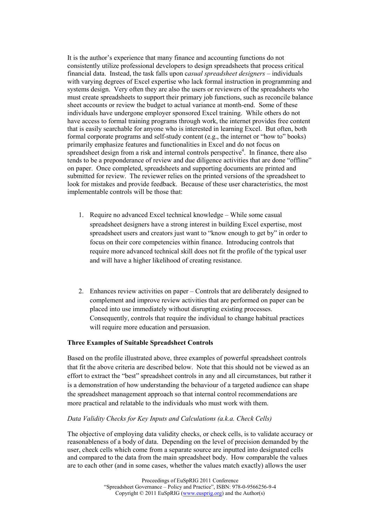It is the author's experience that many finance and accounting functions do not consistently utilize professional developers to design spreadsheets that process critical financial data. Instead, the task falls upon casual spreadsheet designers – individuals with varying degrees of Excel expertise who lack formal instruction in programming and systems design. Very often they are also the users or reviewers of the spreadsheets who must create spreadsheets to support their primary job functions, such as reconcile balance sheet accounts or review the budget to actual variance at month-end. Some of these individuals have undergone employer sponsored Excel training. While others do not have access to formal training programs through work, the internet provides free content that is easily searchable for anyone who is interested in learning Excel. But often, both formal corporate programs and self-study content (e.g., the internet or "how to" books) primarily emphasize features and functionalities in Excel and do not focus on spreadsheet design from a risk and internal controls perspective<sup>4</sup>. In finance, there also tends to be a preponderance of review and due diligence activities that are done "offline" on paper. Once completed, spreadsheets and supporting documents are printed and submitted for review. The reviewer relies on the printed versions of the spreadsheet to look for mistakes and provide feedback. Because of these user characteristics, the most implementable controls will be those that:

- 1. Require no advanced Excel technical knowledge While some casual spreadsheet designers have a strong interest in building Excel expertise, most spreadsheet users and creators just want to "know enough to get by" in order to focus on their core competencies within finance. Introducing controls that require more advanced technical skill does not fit the profile of the typical user and will have a higher likelihood of creating resistance.
- 2. Enhances review activities on paper Controls that are deliberately designed to complement and improve review activities that are performed on paper can be placed into use immediately without disrupting existing processes. Consequently, controls that require the individual to change habitual practices will require more education and persuasion.

## Three Examples of Suitable Spreadsheet Controls

Based on the profile illustrated above, three examples of powerful spreadsheet controls that fit the above criteria are described below. Note that this should not be viewed as an effort to extract the "best" spreadsheet controls in any and all circumstances, but rather it is a demonstration of how understanding the behaviour of a targeted audience can shape the spreadsheet management approach so that internal control recommendations are more practical and relatable to the individuals who must work with them.

## Data Validity Checks for Key Inputs and Calculations (a.k.a. Check Cells)

The objective of employing data validity checks, or check cells, is to validate accuracy or reasonableness of a body of data. Depending on the level of precision demanded by the user, check cells which come from a separate source are inputted into designated cells and compared to the data from the main spreadsheet body. How comparable the values are to each other (and in some cases, whether the values match exactly) allows the user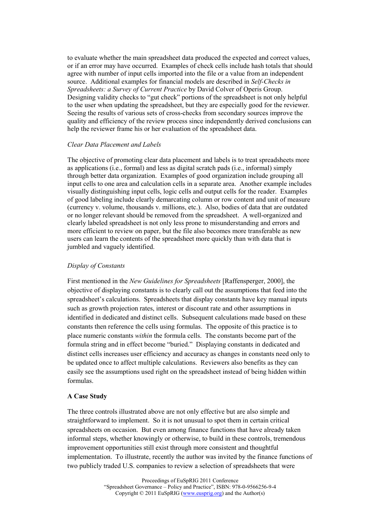to evaluate whether the main spreadsheet data produced the expected and correct values, or if an error may have occurred. Examples of check cells include hash totals that should agree with number of input cells imported into the file or a value from an independent source. Additional examples for financial models are described in Self-Checks in Spreadsheets: a Survey of Current Practice by David Colver of Operis Group. Designing validity checks to "gut check" portions of the spreadsheet is not only helpful to the user when updating the spreadsheet, but they are especially good for the reviewer. Seeing the results of various sets of cross-checks from secondary sources improve the quality and efficiency of the review process since independently derived conclusions can help the reviewer frame his or her evaluation of the spreadsheet data.

## Clear Data Placement and Labels

The objective of promoting clear data placement and labels is to treat spreadsheets more as applications (i.e., formal) and less as digital scratch pads (i.e., informal) simply through better data organization. Examples of good organization include grouping all input cells to one area and calculation cells in a separate area. Another example includes visually distinguishing input cells, logic cells and output cells for the reader. Examples of good labeling include clearly demarcating column or row content and unit of measure (currency v. volume, thousands v. millions, etc.). Also, bodies of data that are outdated or no longer relevant should be removed from the spreadsheet. A well-organized and clearly labeled spreadsheet is not only less prone to misunderstanding and errors and more efficient to review on paper, but the file also becomes more transferable as new users can learn the contents of the spreadsheet more quickly than with data that is jumbled and vaguely identified.

# Display of Constants

First mentioned in the New Guidelines for Spreadsheets [Raffensperger, 2000], the objective of displaying constants is to clearly call out the assumptions that feed into the spreadsheet's calculations. Spreadsheets that display constants have key manual inputs such as growth projection rates, interest or discount rate and other assumptions in identified in dedicated and distinct cells. Subsequent calculations made based on these constants then reference the cells using formulas. The opposite of this practice is to place numeric constants within the formula cells. The constants become part of the formula string and in effect become "buried." Displaying constants in dedicated and distinct cells increases user efficiency and accuracy as changes in constants need only to be updated once to affect multiple calculations. Reviewers also benefits as they can easily see the assumptions used right on the spreadsheet instead of being hidden within formulas.

# A Case Study

The three controls illustrated above are not only effective but are also simple and straightforward to implement. So it is not unusual to spot them in certain critical spreadsheets on occasion. But even among finance functions that have already taken informal steps, whether knowingly or otherwise, to build in these controls, tremendous improvement opportunities still exist through more consistent and thoughtful implementation. To illustrate, recently the author was invited by the finance functions of two publicly traded U.S. companies to review a selection of spreadsheets that were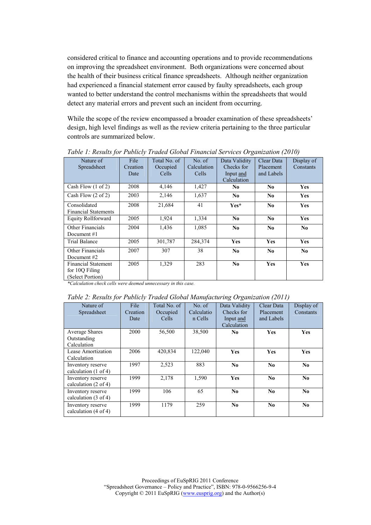considered critical to finance and accounting operations and to provide recommendations on improving the spreadsheet environment. Both organizations were concerned about the health of their business critical finance spreadsheets. Although neither organization had experienced a financial statement error caused by faulty spreadsheets, each group wanted to better understand the control mechanisms within the spreadsheets that would detect any material errors and prevent such an incident from occurring.

While the scope of the review encompassed a broader examination of these spreadsheets' design, high level findings as well as the review criteria pertaining to the three particular controls are summarized below.

| Nature of                     | File     | Total No. of | No. of      | Data Validity  | Clear Data     | Display of     |
|-------------------------------|----------|--------------|-------------|----------------|----------------|----------------|
| Spreadsheet                   | Creation | Occupied     | Calculation | Checks for     | Placement      | Constants      |
|                               | Date     | Cells        | Cells       | Input and      | and Labels     |                |
|                               |          |              |             | Calculation    |                |                |
| Cash Flow $(1 \text{ of } 2)$ | 2008     | 4,146        | 1,427       | N <sub>0</sub> | No.            | <b>Yes</b>     |
| Cash Flow (2 of 2)            | 2003     | 2,146        | 1,637       | N <sub>0</sub> | No.            | <b>Yes</b>     |
| Consolidated                  | 2008     | 21,684       | 41          | Yes*           | N <sub>0</sub> | <b>Yes</b>     |
| <b>Financial Statements</b>   |          |              |             |                |                |                |
| <b>Equity Rollforward</b>     | 2005     | 1,924        | 1,334       | N <sub>0</sub> | N <sub>0</sub> | <b>Yes</b>     |
| Other Financials              | 2004     | 1,436        | 1,085       | N <sub>0</sub> | No             | N <sub>0</sub> |
| Document #1                   |          |              |             |                |                |                |
| <b>Trial Balance</b>          | 2005     | 301,787      | 284,374     | Yes            | <b>Yes</b>     | <b>Yes</b>     |
| Other Financials              | 2007     | 307          | 38          | N <sub>0</sub> | No.            | N <sub>0</sub> |
| Document #2                   |          |              |             |                |                |                |
| <b>Financial Statement</b>    | 2005     | 1,329        | 283         | N <sub>0</sub> | <b>Yes</b>     | <b>Yes</b>     |
| for 10Q Filing                |          |              |             |                |                |                |
| (Select Portion)              |          |              |             |                |                |                |

Table 1: Results for Publicly Traded Global Financial Services Organization (2010)

\*Calculation check cells were deemed unnecessary in this case.

Table 2: Results for Publicly Traded Global Manufacturing Organization (2011)

| Nature of<br>Spreadsheet                             | File<br>Creation<br>Date | Total No. of<br>Occupied<br>Cells. | No. of<br>Calculatio<br>n Cells | Data Validity<br>Checks for<br>Input and<br>Calculation | Clear Data<br>Placement<br>and Labels | Display of<br>Constants |
|------------------------------------------------------|--------------------------|------------------------------------|---------------------------------|---------------------------------------------------------|---------------------------------------|-------------------------|
| Average Shares<br>Outstanding<br>Calculation         | 2000                     | 56,500                             | 38,500                          | No.                                                     | Yes                                   | Yes                     |
| Lease Amortization<br>Calculation                    | 2006                     | 420.834                            | 122,040                         | <b>Yes</b>                                              | <b>Yes</b>                            | <b>Yes</b>              |
| Inventory reserve<br>calculation $(1 \text{ of } 4)$ | 1997                     | 2,523                              | 883                             | No.                                                     | No.                                   | No.                     |
| Inventory reserve<br>calculation $(2 \text{ of } 4)$ | 1999                     | 2,178                              | 1,590                           | Yes                                                     | N <sub>0</sub>                        | No.                     |
| Inventory reserve<br>calculation $(3 \text{ of } 4)$ | 1999                     | 106                                | 65                              | N <sub>0</sub>                                          | N <sub>0</sub>                        | No.                     |
| Inventory reserve<br>calculation $(4 \text{ of } 4)$ | 1999                     | 1179                               | 259                             | N <sub>0</sub>                                          | N <sub>0</sub>                        | N <sub>0</sub>          |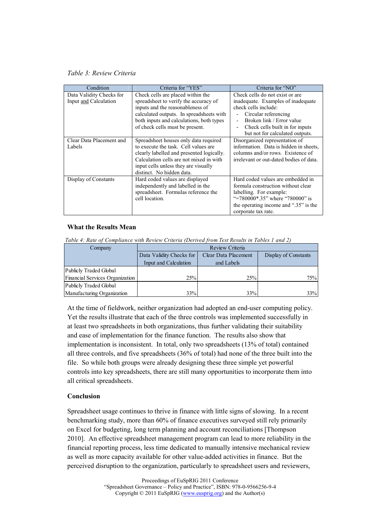## Table 3: Review Criteria

| Condition                | Criteria for "YES"                        | Criteria for "NO"                       |
|--------------------------|-------------------------------------------|-----------------------------------------|
| Data Validity Checks for | Check cells are placed within the         | Check cells do not exist or are.        |
| Input and Calculation    | spreadsheet to verify the accuracy of     | inadequate. Examples of inadequate      |
|                          | inputs and the reasonableness of          | check cells include:                    |
|                          | calculated outputs. In spreadsheets with  | Circular referencing                    |
|                          | both inputs and calculations, both types  | Broken link / Error value               |
|                          | of check cells must be present.           | Check cells built in for inputs         |
|                          |                                           | but not for calculated outputs.         |
| Clear Data Placement and | Spreadsheet houses only data required     | Disorganized representation of          |
| Labels                   | to execute the task. Cell values are      | information. Data is hidden in sheets,  |
|                          | clearly labelled and presented logically. | columns and/or rows. Existence of       |
|                          | Calculation cells are not mixed in with   | irrelevant or out-dated bodies of data. |
|                          | input cells unless they are visually      |                                         |
|                          | distinct. No hidden data.                 |                                         |
| Display of Constants     | Hard coded values are displayed           | Hard coded values are embedded in       |
|                          | independently and labelled in the         | formula construction without clear      |
|                          | spreadsheet. Formulas reference the       | labelling. For example:                 |
|                          | cell location.                            | "=780000*.35" where "780000" is         |
|                          |                                           | the operating income and ".35" is the   |
|                          |                                           | corporate tax rate.                     |

## What the Results Mean

Table 4: Rate of Compliance with Review Criteria (Derived from Test Results in Tables 1 and 2)

| Company                         | Review Criteria          |                      |                      |  |  |
|---------------------------------|--------------------------|----------------------|----------------------|--|--|
|                                 | Data Validity Checks for | Clear Data Placement | Display of Constants |  |  |
|                                 | Input and Calculation    | and Labels           |                      |  |  |
| Publicly Traded Global          |                          |                      |                      |  |  |
| Financial Services Organization | 25%                      | 25%                  | 75%                  |  |  |
| Publicly Traded Global          |                          |                      |                      |  |  |
| Manufacturing Organization      | 33%                      | 33%                  | 33%                  |  |  |

At the time of fieldwork, neither organization had adopted an end-user computing policy. Yet the results illustrate that each of the three controls was implemented successfully in at least two spreadsheets in both organizations, thus further validating their suitability and ease of implementation for the finance function. The results also show that implementation is inconsistent. In total, only two spreadsheets (13% of total) contained all three controls, and five spreadsheets (36% of total) had none of the three built into the file. So while both groups were already designing these three simple yet powerful controls into key spreadsheets, there are still many opportunities to incorporate them into all critical spreadsheets.

# Conclusion

Spreadsheet usage continues to thrive in finance with little signs of slowing. In a recent benchmarking study, more than 60% of finance executives surveyed still rely primarily on Excel for budgeting, long term planning and account reconciliations [Thompson 2010]. An effective spreadsheet management program can lead to more reliability in the financial reporting process, less time dedicated to manually intensive mechanical review as well as more capacity available for other value-added activities in finance. But the perceived disruption to the organization, particularly to spreadsheet users and reviewers,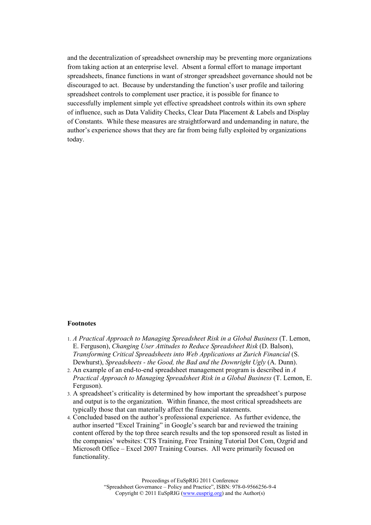and the decentralization of spreadsheet ownership may be preventing more organizations from taking action at an enterprise level. Absent a formal effort to manage important spreadsheets, finance functions in want of stronger spreadsheet governance should not be discouraged to act. Because by understanding the function's user profile and tailoring spreadsheet controls to complement user practice, it is possible for finance to successfully implement simple yet effective spreadsheet controls within its own sphere of influence, such as Data Validity Checks, Clear Data Placement & Labels and Display of Constants. While these measures are straightforward and undemanding in nature, the author's experience shows that they are far from being fully exploited by organizations today.

#### Footnotes

- 1. A Practical Approach to Managing Spreadsheet Risk in a Global Business (T. Lemon, E. Ferguson), Changing User Attitudes to Reduce Spreadsheet Risk (D. Balson), Transforming Critical Spreadsheets into Web Applications at Zurich Financial (S. Dewhurst), Spreadsheets - the Good, the Bad and the Downright Ugly (A. Dunn).
- 2. An example of an end-to-end spreadsheet management program is described in A Practical Approach to Managing Spreadsheet Risk in a Global Business (T. Lemon, E. Ferguson).
- 3. A spreadsheet's criticality is determined by how important the spreadsheet's purpose and output is to the organization. Within finance, the most critical spreadsheets are typically those that can materially affect the financial statements.
- 4. Concluded based on the author's professional experience. As further evidence, the author inserted "Excel Training" in Google's search bar and reviewed the training content offered by the top three search results and the top sponsored result as listed in the companies' websites: CTS Training, Free Training Tutorial Dot Com, Ozgrid and Microsoft Office – Excel 2007 Training Courses. All were primarily focused on functionality.